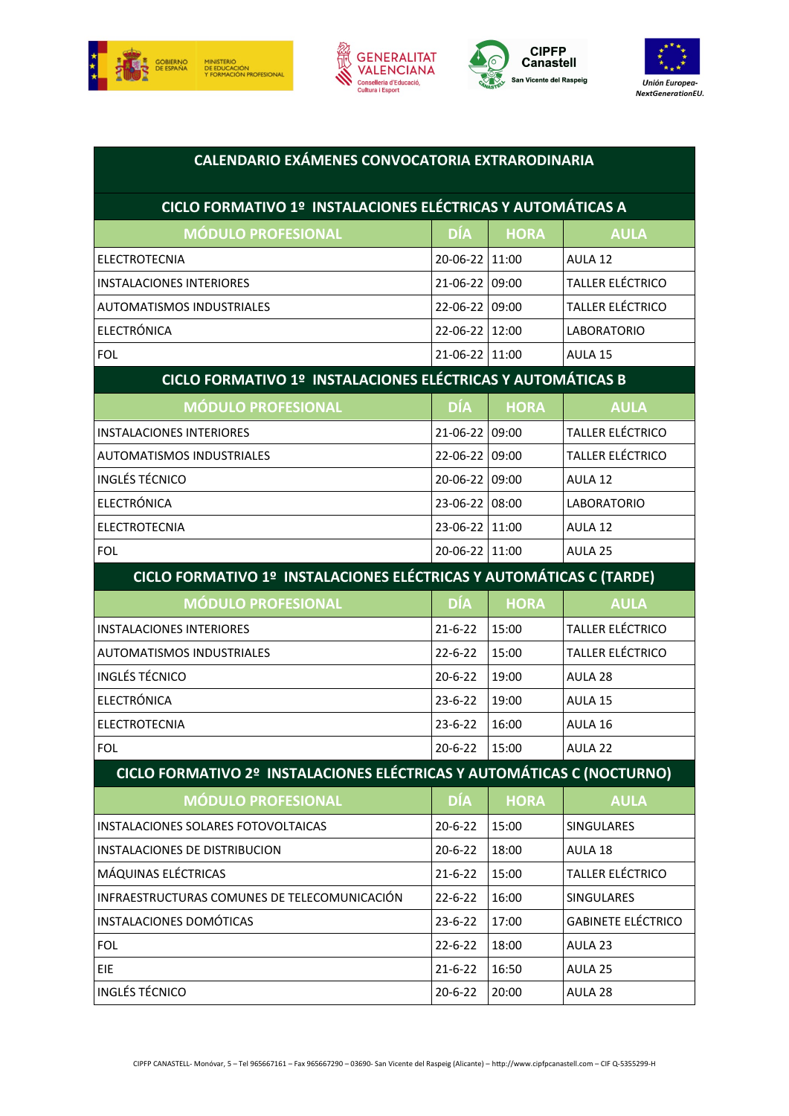







| CALENDARIO EXÁMENES CONVOCATORIA EXTRARODINARIA                        |                        |             |                           |  |  |
|------------------------------------------------------------------------|------------------------|-------------|---------------------------|--|--|
| CICLO FORMATIVO 1º INSTALACIONES ELÉCTRICAS Y AUTOMÁTICAS A            |                        |             |                           |  |  |
| <b>MÓDULO PROFESIONAL</b>                                              | <b>DÍA</b>             | <b>HORA</b> | <b>AULA</b>               |  |  |
| <b>ELECTROTECNIA</b>                                                   | $20 - 06 - 22$         | 11:00       | AULA 12                   |  |  |
| <b>INSTALACIONES INTERIORES</b>                                        | 21-06-22 09:00         |             | TALLER ELÉCTRICO          |  |  |
| <b>AUTOMATISMOS INDUSTRIALES</b>                                       | 22-06-22 09:00         |             | TALLER ELÉCTRICO          |  |  |
| <b>ELECTRÓNICA</b>                                                     | $22 - 06 - 22$         | 12:00       | <b>LABORATORIO</b>        |  |  |
| <b>FOL</b>                                                             | $21 - 06 - 22$         | 11:00       | AULA 15                   |  |  |
| CICLO FORMATIVO 1º INSTALACIONES ELÉCTRICAS Y AUTOMÁTICAS B            |                        |             |                           |  |  |
| <b>MÓDULO PROFESIONAL</b>                                              | <b>DÍA</b>             | <b>HORA</b> | <b>AULA</b>               |  |  |
| <b>INSTALACIONES INTERIORES</b>                                        | 21-06-22 09:00         |             | TALLER ELÉCTRICO          |  |  |
| <b>AUTOMATISMOS INDUSTRIALES</b>                                       | $22 - 06 - 22   09:00$ |             | TALLER ELÉCTRICO          |  |  |
| <b>INGLÉS TÉCNICO</b>                                                  | 20-06-22 09:00         |             | AULA 12                   |  |  |
| <b>ELECTRÓNICA</b>                                                     | 23-06-22 08:00         |             | <b>LABORATORIO</b>        |  |  |
| <b>ELECTROTECNIA</b>                                                   | 23-06-22 11:00         |             | AULA 12                   |  |  |
| <b>FOL</b>                                                             | 20-06-22 11:00         |             | AULA <sub>25</sub>        |  |  |
| CICLO FORMATIVO 1º INSTALACIONES ELÉCTRICAS Y AUTOMÁTICAS C (TARDE)    |                        |             |                           |  |  |
| <b>MÓDULO PROFESIONAL</b>                                              | <b>DÍA</b>             | <b>HORA</b> | <b>AULA</b>               |  |  |
| <b>INSTALACIONES INTERIORES</b>                                        | $21 - 6 - 22$          | 15:00       | TALLER ELÉCTRICO          |  |  |
| <b>AUTOMATISMOS INDUSTRIALES</b>                                       | $22 - 6 - 22$          | 15:00       | TALLER ELÉCTRICO          |  |  |
| <b>INGLÉS TÉCNICO</b>                                                  | $20 - 6 - 22$          | 19:00       | AULA 28                   |  |  |
| <b>ELECTRÓNICA</b>                                                     | $23 - 6 - 22$          | 19:00       | AULA 15                   |  |  |
| <b>ELECTROTECNIA</b>                                                   | $23 - 6 - 22$          | 16:00       | AULA 16                   |  |  |
| <b>FOL</b>                                                             | $20 - 6 - 22$          | 15:00       | AULA 22                   |  |  |
| CICLO FORMATIVO 2º INSTALACIONES ELÉCTRICAS Y AUTOMÁTICAS C (NOCTURNO) |                        |             |                           |  |  |
| <b>MÓDULO PROFESIONAL</b>                                              | <b>DÍA</b>             | <b>HORA</b> | <b>AULA</b>               |  |  |
| INSTALACIONES SOLARES FOTOVOLTAICAS                                    | $20 - 6 - 22$          | 15:00       | <b>SINGULARES</b>         |  |  |
|                                                                        |                        |             |                           |  |  |
| INSTALACIONES DE DISTRIBUCION                                          | $20 - 6 - 22$          | 18:00       | AULA 18                   |  |  |
| MÁQUINAS ELÉCTRICAS                                                    | $21 - 6 - 22$          | 15:00       | TALLER ELÉCTRICO          |  |  |
| INFRAESTRUCTURAS COMUNES DE TELECOMUNICACIÓN                           | $22 - 6 - 22$          | 16:00       | SINGULARES                |  |  |
| INSTALACIONES DOMÓTICAS                                                | $23 - 6 - 22$          | 17:00       | <b>GABINETE ELÉCTRICO</b> |  |  |
| <b>FOL</b>                                                             | $22 - 6 - 22$          | 18:00       | AULA 23                   |  |  |
| EIE                                                                    | $21 - 6 - 22$          | 16:50       | AULA 25                   |  |  |